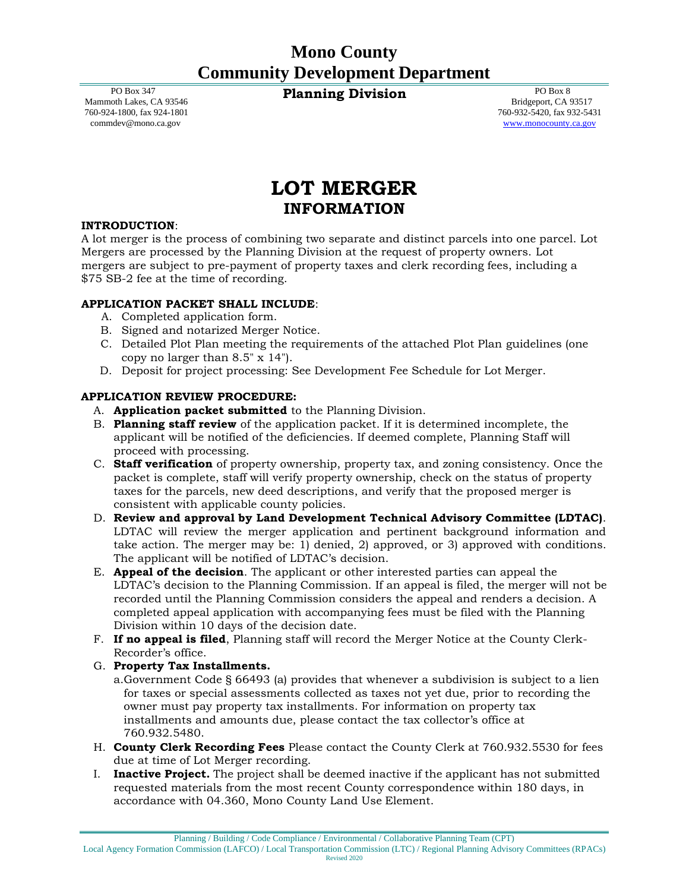PO Box 347 Mammoth Lakes, CA 93546 760-924-1800, fax 924-1801 [commdev@mono.ca.gov](mailto:commdev@mono.ca.gov)

**Planning Division** PO Box 8

Bridgeport, CA 93517 760-932-5420, fax 932-5431 [www.monocounty.ca.gov](http://www.monocounty.ca.gov/)

# **LOT MERGER INFORMATION**

### **INTRODUCTION**:

A lot merger is the process of combining two separate and distinct parcels into one parcel. Lot Mergers are processed by the Planning Division at the request of property owners. Lot mergers are subject to pre-payment of property taxes and clerk recording fees, including a \$75 SB-2 fee at the time of recording.

### **APPLICATION PACKET SHALL INCLUDE**:

- A. Completed application form.
- B. Signed and notarized Merger Notice.
- C. Detailed Plot Plan meeting the requirements of the attached Plot Plan guidelines (one copy no larger than 8.5" x 14").
- D. Deposit for project processing: See Development Fee Schedule for Lot Merger.

### **APPLICATION REVIEW PROCEDURE:**

- A. **Application packet submitted** to the Planning Division.
- B. **Planning staff review** of the application packet. If it is determined incomplete, the applicant will be notified of the deficiencies. If deemed complete, Planning Staff will proceed with processing.
- C. **Staff verification** of property ownership, property tax, and zoning consistency. Once the packet is complete, staff will verify property ownership, check on the status of property taxes for the parcels, new deed descriptions, and verify that the proposed merger is consistent with applicable county policies.
- D. **Review and approval by Land Development Technical Advisory Committee (LDTAC)**. LDTAC will review the merger application and pertinent background information and take action. The merger may be: 1) denied, 2) approved, or 3) approved with conditions. The applicant will be notified of LDTAC's decision.
- E. **Appeal of the decision**. The applicant or other interested parties can appeal the LDTAC's decision to the Planning Commission. If an appeal is filed, the merger will not be recorded until the Planning Commission considers the appeal and renders a decision. A completed appeal application with accompanying fees must be filed with the Planning Division within 10 days of the decision date.
- F. **If no appeal is filed**, Planning staff will record the Merger Notice at the County Clerk-Recorder's office.
- G. **Property Tax Installments.**
	- a.Government Code § 66493 (a) provides that whenever a subdivision is subject to a lien for taxes or special assessments collected as taxes not yet due, prior to recording the owner must pay property tax installments. For information on property tax installments and amounts due, please contact the tax collector's office at 760.932.5480.
- H. **County Clerk Recording Fees** Please contact the County Clerk at 760.932.5530 for fees due at time of Lot Merger recording.
- I. **Inactive Project.** The project shall be deemed inactive if the applicant has not submitted requested materials from the most recent County correspondence within 180 days, in accordance with 04.360, Mono County Land Use Element.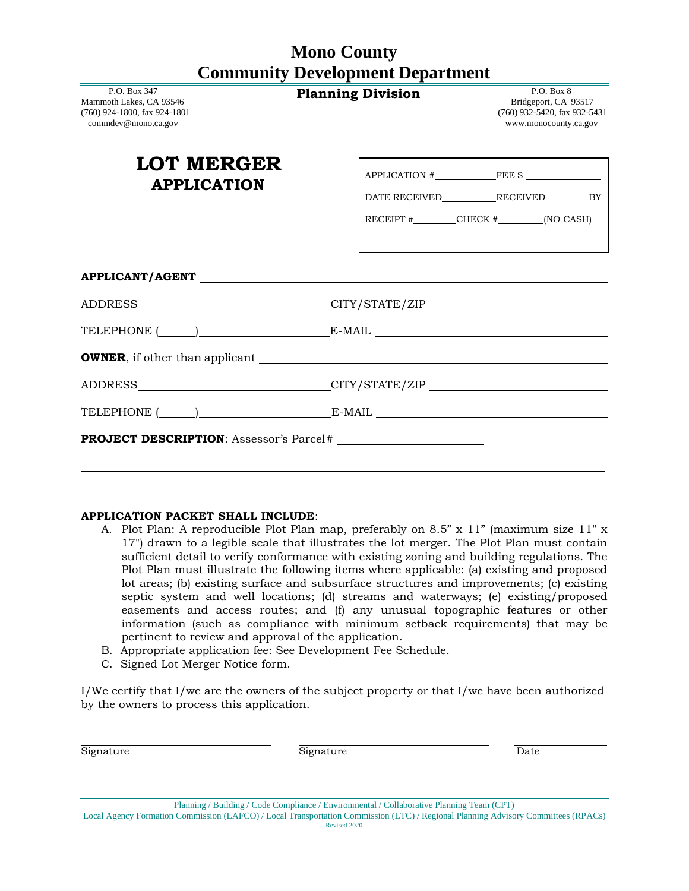| P.O. Box 347<br>Mammoth Lakes, CA 93546<br>(760) 924-1800, fax 924-1801<br>commdev@mono.ca.gov | <b>Planning Division</b>                                                         |                                                                                |  | P.O. Box 8<br>Bridgeport, CA 93517<br>(760) 932-5420, fax 932-5431<br>www.monocounty.ca.gov |                 |
|------------------------------------------------------------------------------------------------|----------------------------------------------------------------------------------|--------------------------------------------------------------------------------|--|---------------------------------------------------------------------------------------------|-----------------|
| <b>LOT MERGER</b><br><b>APPLICATION</b>                                                        |                                                                                  | $APPLICATION$ $\#$ $\qquad \qquad$ FEE \$<br>RECEIPT $\#$ CHECK $\#$ (NO CASH) |  |                                                                                             | <b>EXECUTE:</b> |
| APPLICANT/AGENT                                                                                |                                                                                  |                                                                                |  |                                                                                             |                 |
| ADDRESS_______________________________CITY/STATE/ZIP ____________________________              |                                                                                  |                                                                                |  |                                                                                             |                 |
|                                                                                                |                                                                                  |                                                                                |  |                                                                                             |                 |
|                                                                                                |                                                                                  |                                                                                |  |                                                                                             |                 |
|                                                                                                | ADDRESS______________________________CITY/STATE/ZIP ____________________________ |                                                                                |  |                                                                                             |                 |
|                                                                                                |                                                                                  |                                                                                |  |                                                                                             |                 |
|                                                                                                |                                                                                  |                                                                                |  |                                                                                             |                 |
|                                                                                                |                                                                                  |                                                                                |  |                                                                                             |                 |

#### **APPLICATION PACKET SHALL INCLUDE**:

- A. Plot Plan: A reproducible Plot Plan map, preferably on 8.5" x 11" (maximum size 11" x 17") drawn to a legible scale that illustrates the lot merger. The Plot Plan must contain sufficient detail to verify conformance with existing zoning and building regulations. The Plot Plan must illustrate the following items where applicable: (a) existing and proposed lot areas; (b) existing surface and subsurface structures and improvements; (c) existing septic system and well locations; (d) streams and waterways; (e) existing/proposed easements and access routes; and (f) any unusual topographic features or other information (such as compliance with minimum setback requirements) that may be pertinent to review and approval of the application.
- B. Appropriate application fee: See Development Fee Schedule.
- C. Signed Lot Merger Notice form.

I/We certify that I/we are the owners of the subject property or that I/we have been authorized by the owners to process this application.

Signature Date **Signature** Signature Date

Planning / Building / Code Compliance / Environmental / Collaborative Planning Team (CPT) Local Agency Formation Commission (LAFCO) / Local Transportation Commission (LTC) / Regional Planning Advisory Committees (RPACs)

Revised 2020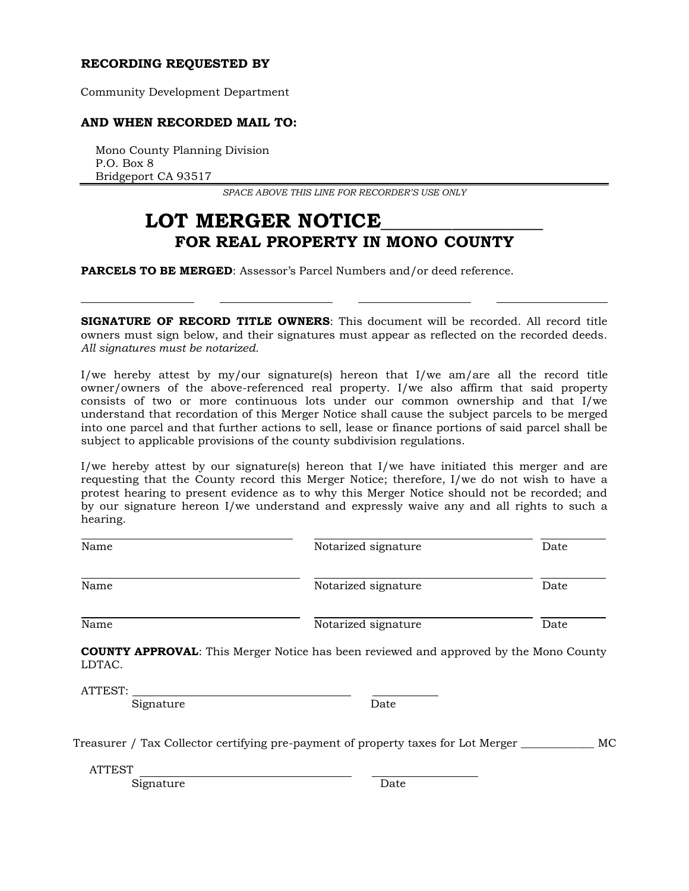#### **RECORDING REQUESTED BY**

Community Development Department

### **AND WHEN RECORDED MAIL TO:**

Mono County Planning Division P.O. Box 8 Bridgeport CA 93517

*SPACE ABOVE THIS LINE FOR RECORDER'S USE ONLY*

## LOT MERGER NOTICE **FOR REAL PROPERTY IN MONO COUNTY**

**PARCELS TO BE MERGED**: Assessor's Parcel Numbers and/or deed reference.

**SIGNATURE OF RECORD TITLE OWNERS**: This document will be recorded. All record title owners must sign below, and their signatures must appear as reflected on the recorded deeds. *All signatures must be notarized.*

I/we hereby attest by my/our signature(s) hereon that I/we am/are all the record title owner/owners of the above-referenced real property. I/we also affirm that said property consists of two or more continuous lots under our common ownership and that I/we understand that recordation of this Merger Notice shall cause the subject parcels to be merged into one parcel and that further actions to sell, lease or finance portions of said parcel shall be subject to applicable provisions of the county subdivision regulations.

I/we hereby attest by our signature(s) hereon that I/we have initiated this merger and are requesting that the County record this Merger Notice; therefore, I/we do not wish to have a protest hearing to present evidence as to why this Merger Notice should not be recorded; and by our signature hereon I/we understand and expressly waive any and all rights to such a hearing.

| Name | Notarized signature | Date |
|------|---------------------|------|
| Name | Notarized signature | Date |
| Name | Notarized signature | Date |

**COUNTY APPROVAL**: This Merger Notice has been reviewed and approved by the Mono County LDTAC.

ATTEST:

Signature Date

Treasurer / Tax Collector certifying pre-payment of property taxes for Lot Merger \_\_\_\_\_\_\_\_\_\_\_\_\_ MC

ATTEST

Signature **Date**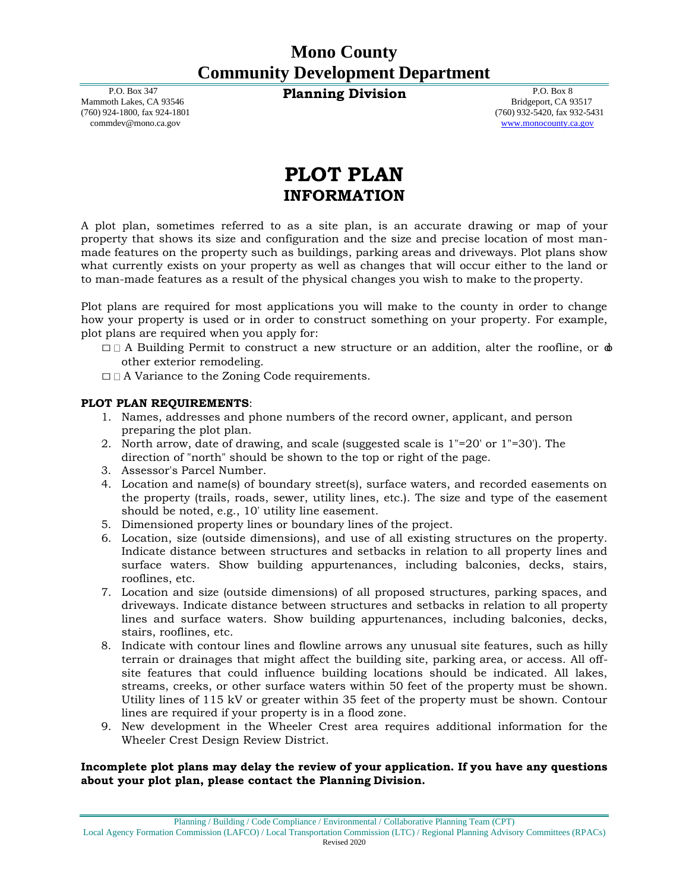P.O. Box 347 Mammoth Lakes, CA 93546 (760) 924-1800, fax 924-1801 [commdev@mono.ca.gov](mailto:commdev@mono.ca.gov)

**Planning Division** P.O. Box 8

Bridgeport, CA 93517 (760) 932-5420, fax 932-5431 [www.monocounty.ca.gov](http://www.monocounty.ca.gov/)

# **PLOT PLAN INFORMATION**

A plot plan, sometimes referred to as a site plan, is an accurate drawing or map of your property that shows its size and configuration and the size and precise location of most manmade features on the property such as buildings, parking areas and driveways. Plot plans show what currently exists on your property as well as changes that will occur either to the land or to man-made features as a result of the physical changes you wish to make to the property.

Plot plans are required for most applications you will make to the county in order to change how your property is used or in order to construct something on your property. For example, plot plans are required when you apply for:

- $\Box$  A Building Permit to construct a new structure or an addition, alter the roofline, or  $\phi$ other exterior remodeling.
- □ A Variance to the Zoning Code requirements.

#### **PLOT PLAN REQUIREMENTS**:

- 1. Names, addresses and phone numbers of the record owner, applicant, and person preparing the plot plan.
- 2. North arrow, date of drawing, and scale (suggested scale is 1"=20' or 1"=30'). The direction of "north" should be shown to the top or right of the page.
- 3. Assessor's Parcel Number.
- 4. Location and name(s) of boundary street(s), surface waters, and recorded easements on the property (trails, roads, sewer, utility lines, etc.). The size and type of the easement should be noted, e.g., 10' utility line easement.
- 5. Dimensioned property lines or boundary lines of the project.
- 6. Location, size (outside dimensions), and use of all existing structures on the property. Indicate distance between structures and setbacks in relation to all property lines and surface waters. Show building appurtenances, including balconies, decks, stairs, rooflines, etc.
- 7. Location and size (outside dimensions) of all proposed structures, parking spaces, and driveways. Indicate distance between structures and setbacks in relation to all property lines and surface waters. Show building appurtenances, including balconies, decks, stairs, rooflines, etc.
- 8. Indicate with contour lines and flowline arrows any unusual site features, such as hilly terrain or drainages that might affect the building site, parking area, or access. All offsite features that could influence building locations should be indicated. All lakes, streams, creeks, or other surface waters within 50 feet of the property must be shown. Utility lines of 115 kV or greater within 35 feet of the property must be shown. Contour lines are required if your property is in a flood zone.
- 9. New development in the Wheeler Crest area requires additional information for the Wheeler Crest Design Review District.

#### **Incomplete plot plans may delay the review of your application. If you have any questions about your plot plan, please contact the Planning Division.**